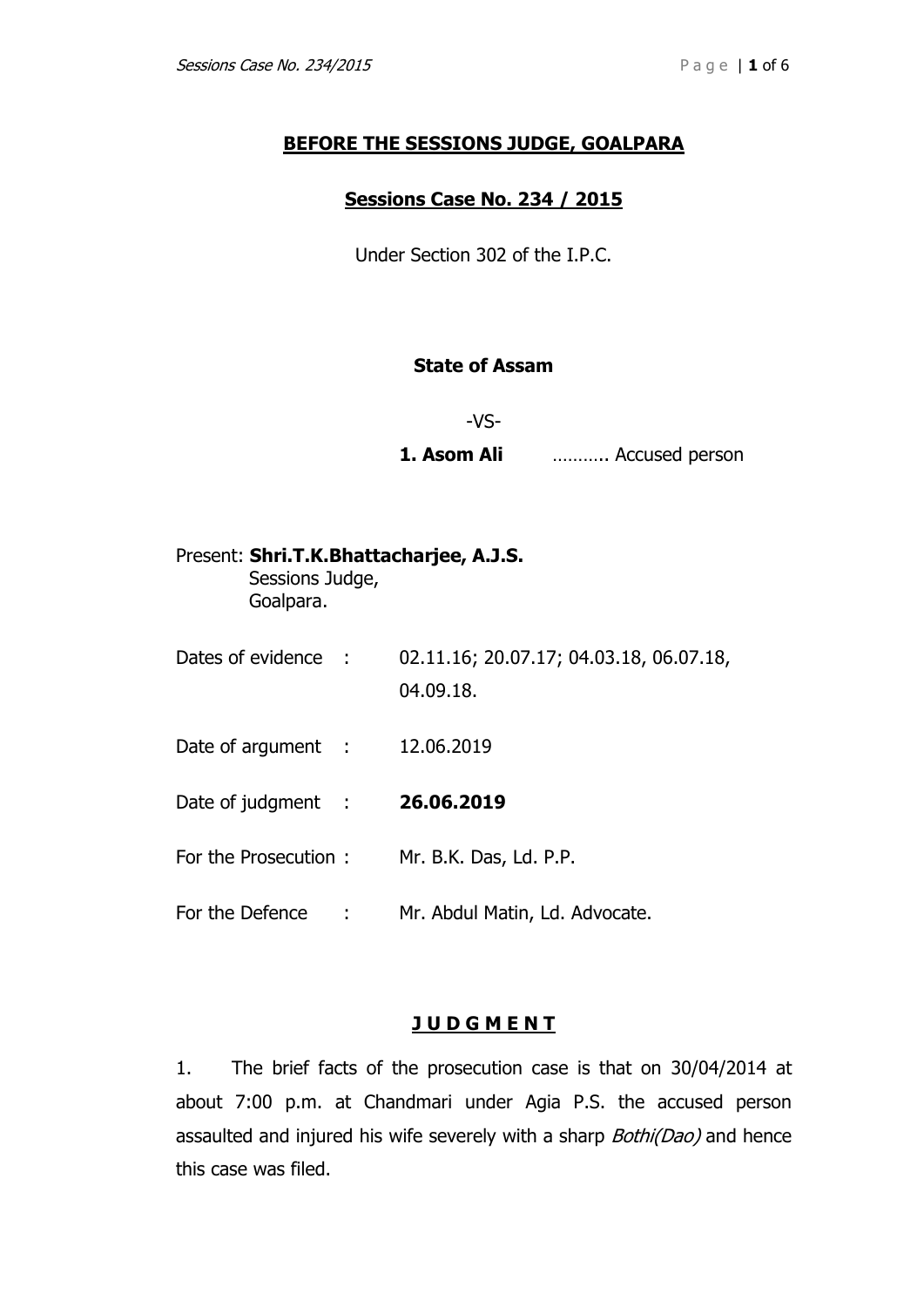# **BEFORE THE SESSIONS JUDGE, GOALPARA**

## **Sessions Case No. 234 / 2015**

Under Section 302 of the I.P.C.

# **State of Assam**

-VS-

**1. Asom Ali** ……….. Accused person

| Present: Shri.T.K.Bhattacharjee, A.J.S.<br>Sessions Judge,<br>Goalpara. |     |                                                      |
|-------------------------------------------------------------------------|-----|------------------------------------------------------|
| Dates of evidence :                                                     |     | 02.11.16; 20.07.17; 04.03.18, 06.07.18,<br>04.09.18. |
| Date of argument :                                                      |     | 12.06.2019                                           |
| Date of judgment :                                                      |     | 26.06.2019                                           |
| For the Prosecution:                                                    |     | Mr. B.K. Das, Ld. P.P.                               |
| For the Defence                                                         | - 1 | Mr. Abdul Matin, Ld. Advocate.                       |

### **J U D G M E N T**

1. The brief facts of the prosecution case is that on 30/04/2014 at about 7:00 p.m. at Chandmari under Agia P.S. the accused person assaulted and injured his wife severely with a sharp Bothi(Dao) and hence this case was filed.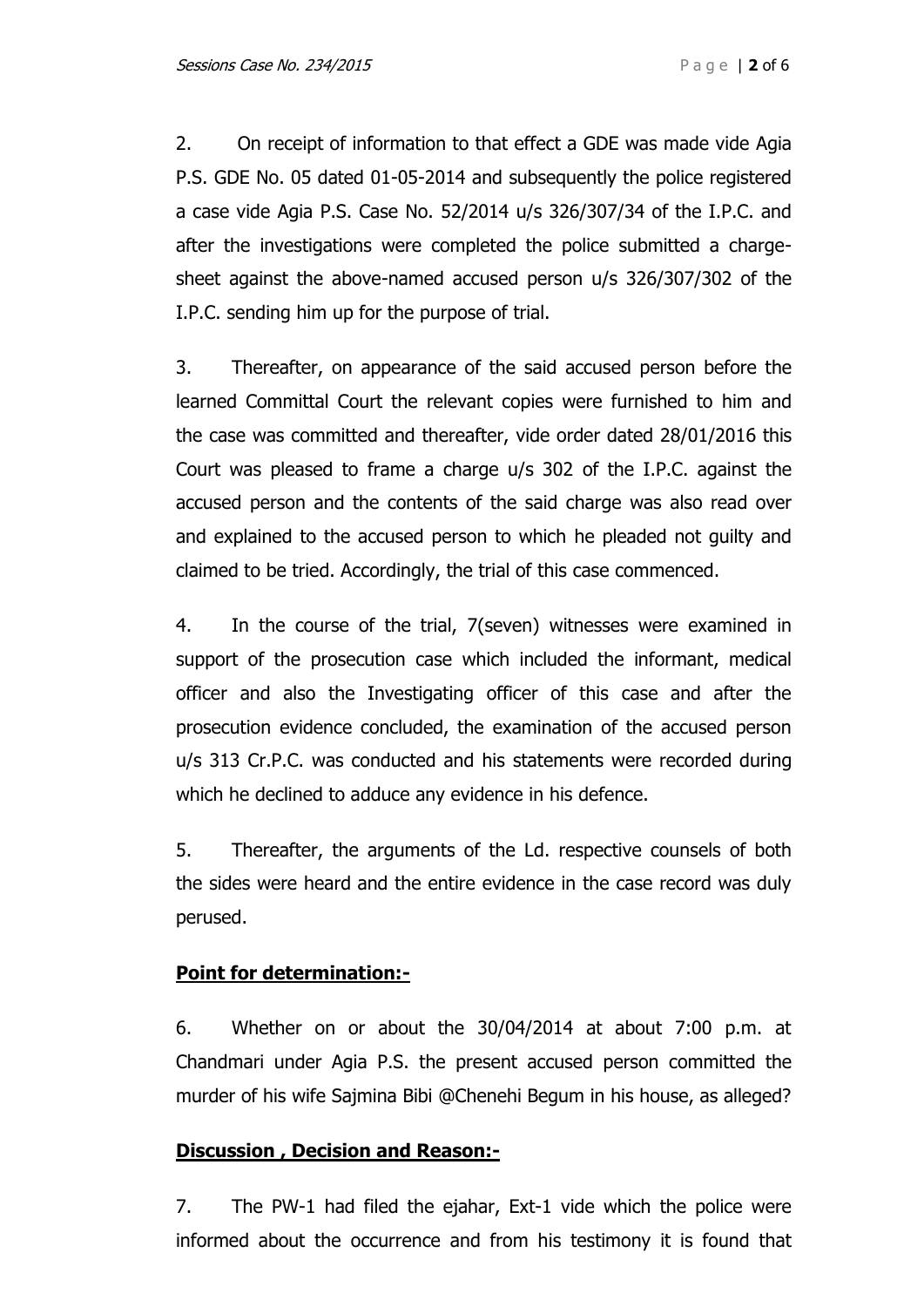2. On receipt of information to that effect a GDE was made vide Agia P.S. GDE No. 05 dated 01-05-2014 and subsequently the police registered a case vide Agia P.S. Case No. 52/2014 u/s 326/307/34 of the I.P.C. and after the investigations were completed the police submitted a chargesheet against the above-named accused person u/s 326/307/302 of the I.P.C. sending him up for the purpose of trial.

3. Thereafter, on appearance of the said accused person before the learned Committal Court the relevant copies were furnished to him and the case was committed and thereafter, vide order dated 28/01/2016 this Court was pleased to frame a charge u/s 302 of the I.P.C. against the accused person and the contents of the said charge was also read over and explained to the accused person to which he pleaded not guilty and claimed to be tried. Accordingly, the trial of this case commenced.

4. In the course of the trial, 7(seven) witnesses were examined in support of the prosecution case which included the informant, medical officer and also the Investigating officer of this case and after the prosecution evidence concluded, the examination of the accused person u/s 313 Cr.P.C. was conducted and his statements were recorded during which he declined to adduce any evidence in his defence.

5. Thereafter, the arguments of the Ld. respective counsels of both the sides were heard and the entire evidence in the case record was duly perused.

# **Point for determination:-**

6. Whether on or about the 30/04/2014 at about 7:00 p.m. at Chandmari under Agia P.S. the present accused person committed the murder of his wife Sajmina Bibi @Chenehi Begum in his house, as alleged?

### **Discussion , Decision and Reason:-**

7. The PW-1 had filed the ejahar, Ext-1 vide which the police were informed about the occurrence and from his testimony it is found that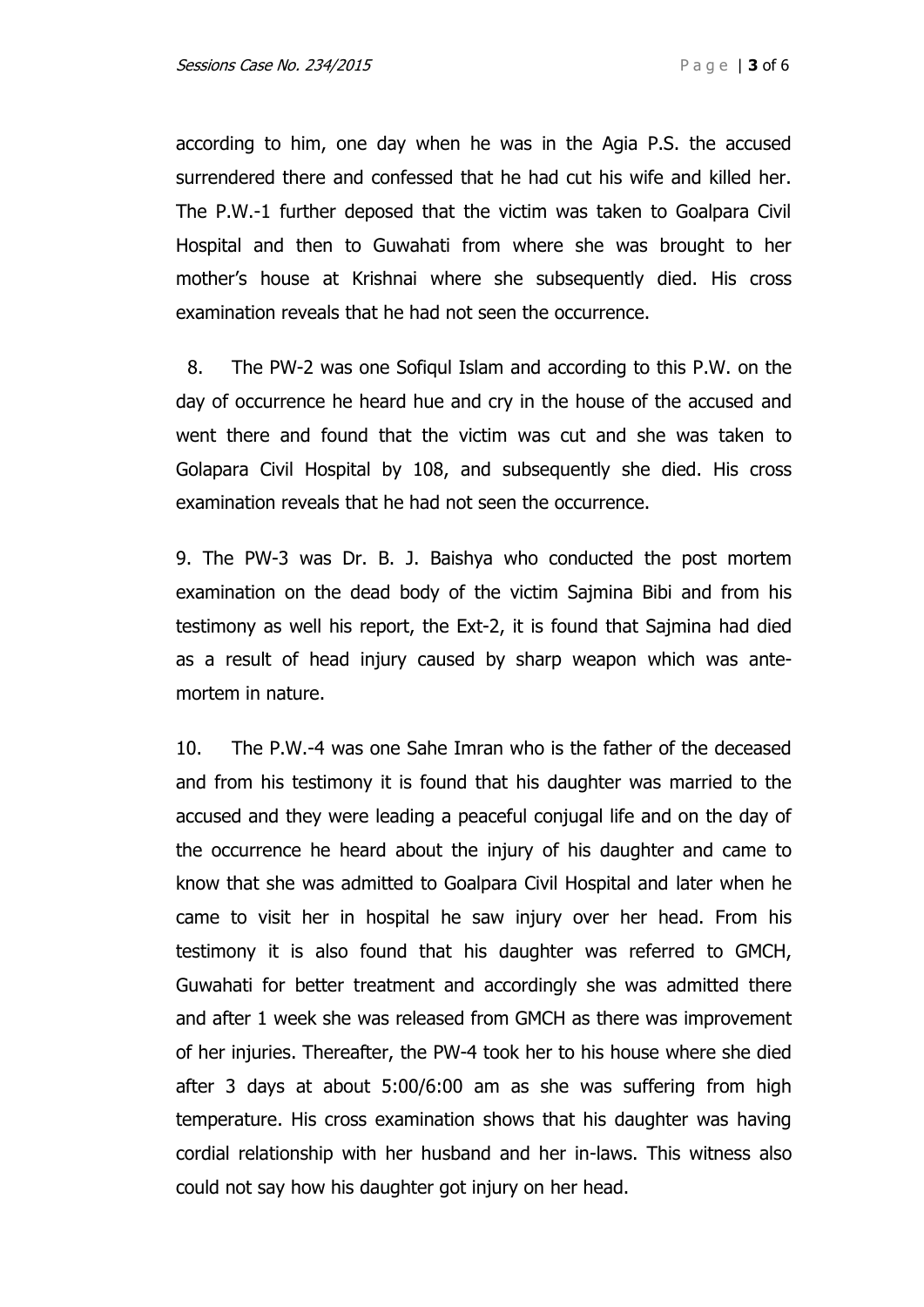according to him, one day when he was in the Agia P.S. the accused surrendered there and confessed that he had cut his wife and killed her. The P.W.-1 further deposed that the victim was taken to Goalpara Civil Hospital and then to Guwahati from where she was brought to her mother's house at Krishnai where she subsequently died. His cross examination reveals that he had not seen the occurrence.

8. The PW-2 was one Sofiqul Islam and according to this P.W. on the day of occurrence he heard hue and cry in the house of the accused and went there and found that the victim was cut and she was taken to Golapara Civil Hospital by 108, and subsequently she died. His cross examination reveals that he had not seen the occurrence.

9. The PW-3 was Dr. B. J. Baishya who conducted the post mortem examination on the dead body of the victim Sajmina Bibi and from his testimony as well his report, the Ext-2, it is found that Sajmina had died as a result of head injury caused by sharp weapon which was antemortem in nature.

10. The P.W.-4 was one Sahe Imran who is the father of the deceased and from his testimony it is found that his daughter was married to the accused and they were leading a peaceful conjugal life and on the day of the occurrence he heard about the injury of his daughter and came to know that she was admitted to Goalpara Civil Hospital and later when he came to visit her in hospital he saw injury over her head. From his testimony it is also found that his daughter was referred to GMCH, Guwahati for better treatment and accordingly she was admitted there and after 1 week she was released from GMCH as there was improvement of her injuries. Thereafter, the PW-4 took her to his house where she died after 3 days at about 5:00/6:00 am as she was suffering from high temperature. His cross examination shows that his daughter was having cordial relationship with her husband and her in-laws. This witness also could not say how his daughter got injury on her head.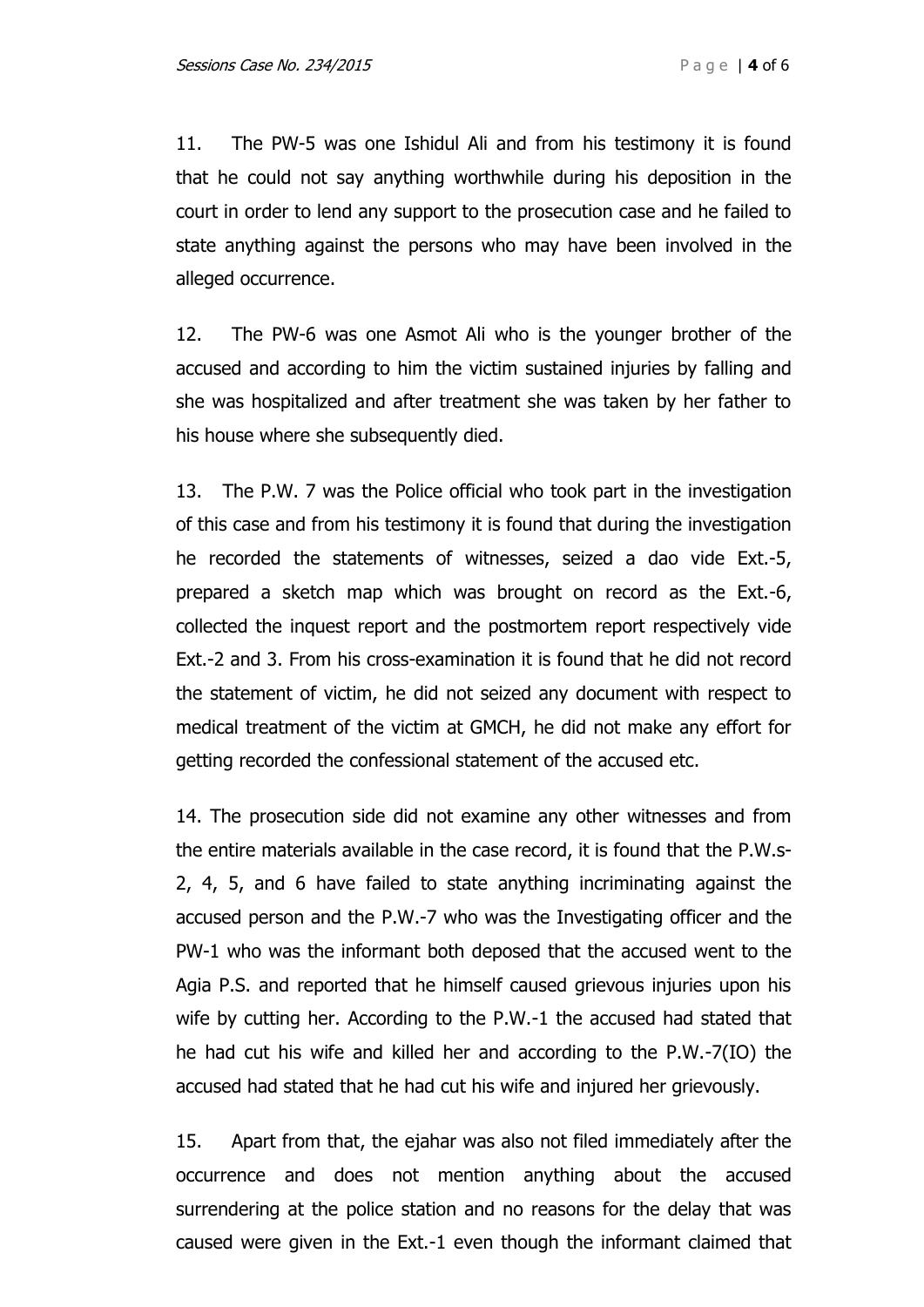11. The PW-5 was one Ishidul Ali and from his testimony it is found that he could not say anything worthwhile during his deposition in the court in order to lend any support to the prosecution case and he failed to state anything against the persons who may have been involved in the alleged occurrence.

12. The PW-6 was one Asmot Ali who is the younger brother of the accused and according to him the victim sustained injuries by falling and she was hospitalized and after treatment she was taken by her father to his house where she subsequently died.

13. The P.W. 7 was the Police official who took part in the investigation of this case and from his testimony it is found that during the investigation he recorded the statements of witnesses, seized a dao vide Ext.-5, prepared a sketch map which was brought on record as the Ext.-6, collected the inquest report and the postmortem report respectively vide Ext.-2 and 3. From his cross-examination it is found that he did not record the statement of victim, he did not seized any document with respect to medical treatment of the victim at GMCH, he did not make any effort for getting recorded the confessional statement of the accused etc.

14. The prosecution side did not examine any other witnesses and from the entire materials available in the case record, it is found that the P.W.s-2, 4, 5, and 6 have failed to state anything incriminating against the accused person and the P.W.-7 who was the Investigating officer and the PW-1 who was the informant both deposed that the accused went to the Agia P.S. and reported that he himself caused grievous injuries upon his wife by cutting her. According to the P.W.-1 the accused had stated that he had cut his wife and killed her and according to the P.W.-7(IO) the accused had stated that he had cut his wife and injured her grievously.

15. Apart from that, the ejahar was also not filed immediately after the occurrence and does not mention anything about the accused surrendering at the police station and no reasons for the delay that was caused were given in the Ext.-1 even though the informant claimed that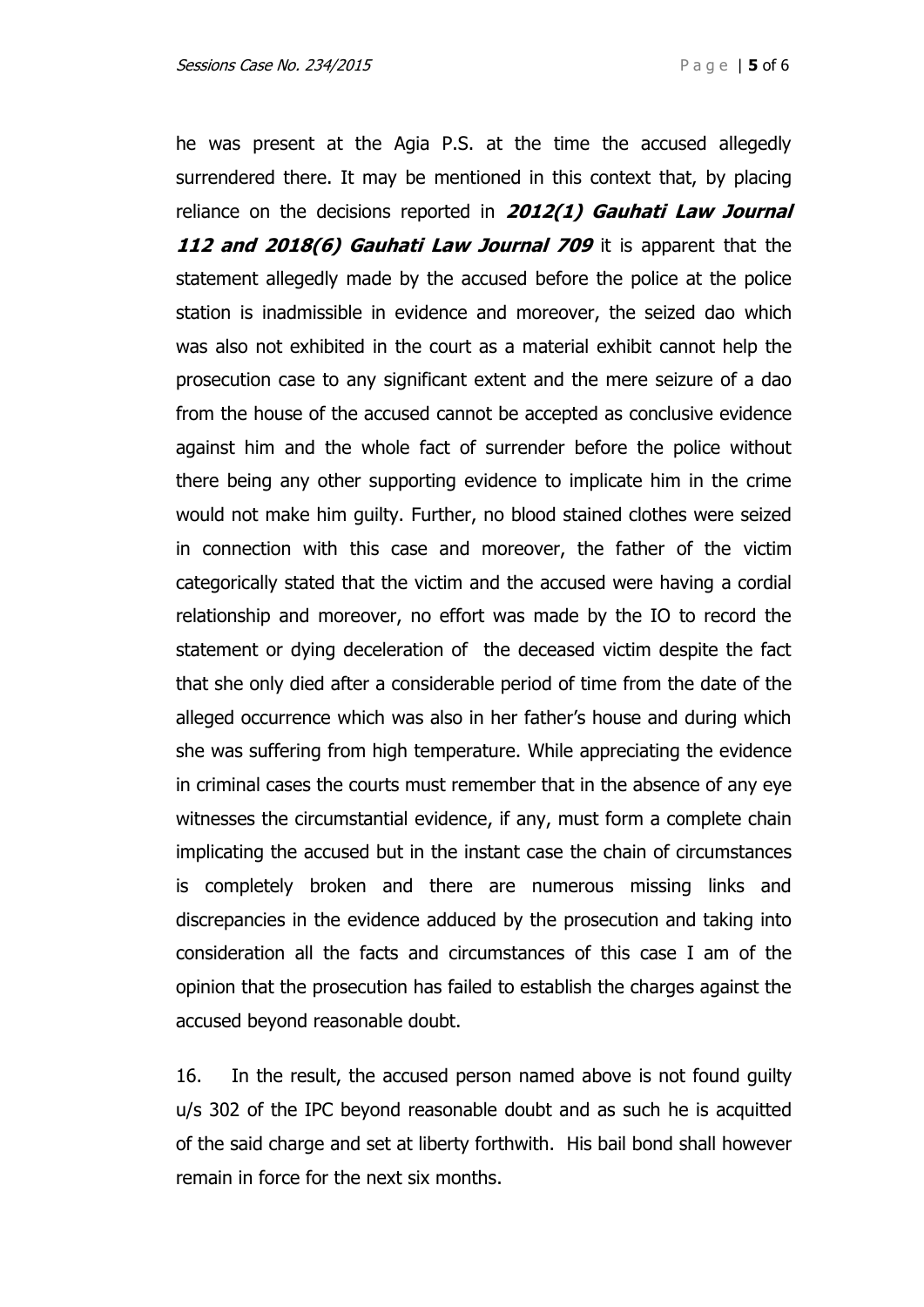he was present at the Agia P.S. at the time the accused allegedly surrendered there. It may be mentioned in this context that, by placing reliance on the decisions reported in **2012(1) Gauhati Law Journal 112 and 2018(6) Gauhati Law Journal 709** it is apparent that the statement allegedly made by the accused before the police at the police station is inadmissible in evidence and moreover, the seized dao which was also not exhibited in the court as a material exhibit cannot help the prosecution case to any significant extent and the mere seizure of a dao from the house of the accused cannot be accepted as conclusive evidence against him and the whole fact of surrender before the police without there being any other supporting evidence to implicate him in the crime would not make him guilty. Further, no blood stained clothes were seized in connection with this case and moreover, the father of the victim categorically stated that the victim and the accused were having a cordial relationship and moreover, no effort was made by the IO to record the statement or dying deceleration of the deceased victim despite the fact that she only died after a considerable period of time from the date of the alleged occurrence which was also in her father's house and during which she was suffering from high temperature. While appreciating the evidence in criminal cases the courts must remember that in the absence of any eye witnesses the circumstantial evidence, if any, must form a complete chain implicating the accused but in the instant case the chain of circumstances is completely broken and there are numerous missing links and discrepancies in the evidence adduced by the prosecution and taking into consideration all the facts and circumstances of this case I am of the opinion that the prosecution has failed to establish the charges against the accused beyond reasonable doubt.

16. In the result, the accused person named above is not found guilty u/s 302 of the IPC beyond reasonable doubt and as such he is acquitted of the said charge and set at liberty forthwith. His bail bond shall however remain in force for the next six months.